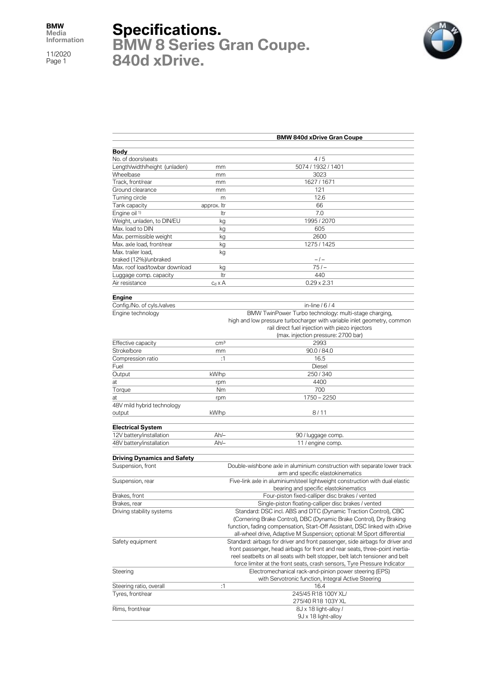11/2020 Page 1

## **Specifications.**

**BMW 8 Series Gran Coupe. 840d xDrive.**



|                                    |                                                                              | <b>BMW 840d xDrive Gran Coupe</b>                                                                                                                 |  |  |
|------------------------------------|------------------------------------------------------------------------------|---------------------------------------------------------------------------------------------------------------------------------------------------|--|--|
| Body                               |                                                                              |                                                                                                                                                   |  |  |
| No. of doors/seats                 |                                                                              | 4/5                                                                                                                                               |  |  |
| Length/width/height (unladen)      | mm                                                                           | 5074 / 1932 / 1401                                                                                                                                |  |  |
| Wheelbase                          | mm                                                                           | 3023                                                                                                                                              |  |  |
| Track, front/rear                  | mm                                                                           | 1627 / 1671                                                                                                                                       |  |  |
| Ground clearance                   | mm                                                                           | 121                                                                                                                                               |  |  |
| Turning circle                     | m                                                                            | 12.6                                                                                                                                              |  |  |
| Tank capacity                      | approx. Itr                                                                  | 66                                                                                                                                                |  |  |
| Engine oil <sup>1)</sup>           | ltr                                                                          | 7.0                                                                                                                                               |  |  |
| Weight, unladen, to DIN/EU         | kg                                                                           | 1995 / 2070                                                                                                                                       |  |  |
| Max. load to DIN                   | kg                                                                           | 605                                                                                                                                               |  |  |
| Max. permissible weight            | kg                                                                           | 2600                                                                                                                                              |  |  |
| Max. axle load, front/rear         | kg                                                                           | 1275 / 1425                                                                                                                                       |  |  |
| Max. trailer load,                 | kg                                                                           |                                                                                                                                                   |  |  |
| braked (12%)/unbraked              |                                                                              | $-1-$                                                                                                                                             |  |  |
| Max. roof load/towbar download     | kg                                                                           | $751 -$                                                                                                                                           |  |  |
| Luggage comp. capacity             | Itr                                                                          | 440                                                                                                                                               |  |  |
| Air resistance                     | $c_d \times A$                                                               | $0.29 \times 2.31$                                                                                                                                |  |  |
|                                    |                                                                              |                                                                                                                                                   |  |  |
| <b>Engine</b>                      |                                                                              |                                                                                                                                                   |  |  |
| Config./No. of cyls./valves        |                                                                              | in-line $/6/4$                                                                                                                                    |  |  |
| Engine technology                  |                                                                              | BMW TwinPower Turbo technology: multi-stage charging,                                                                                             |  |  |
|                                    |                                                                              | high and low pressure turbocharger with variable inlet geometry, common                                                                           |  |  |
|                                    |                                                                              | rail direct fuel injection with piezo injectors                                                                                                   |  |  |
|                                    |                                                                              | (max. injection pressure: 2700 bar)                                                                                                               |  |  |
| Effective capacity                 | cm <sup>3</sup>                                                              | 2993                                                                                                                                              |  |  |
| Stroke/bore                        | mm                                                                           | 90.0 / 84.0                                                                                                                                       |  |  |
| Compression ratio                  | :1                                                                           | 16.5                                                                                                                                              |  |  |
| Fuel                               |                                                                              | Diesel                                                                                                                                            |  |  |
| Output                             | kW/hp                                                                        | 250/340                                                                                                                                           |  |  |
| at                                 | rpm                                                                          | 4400                                                                                                                                              |  |  |
| Torque                             | Nm                                                                           | 700                                                                                                                                               |  |  |
| at                                 | rpm                                                                          | $1750 - 2250$                                                                                                                                     |  |  |
| 48V mild hybrid technology         |                                                                              |                                                                                                                                                   |  |  |
| output                             | kW/hp                                                                        | 8/11                                                                                                                                              |  |  |
| <b>Electrical System</b>           |                                                                              |                                                                                                                                                   |  |  |
| 12V battery/installation           | $Ah/-$                                                                       | 90 / luggage comp.                                                                                                                                |  |  |
| 48V battery/installation           | $Ah/-$                                                                       | 11 / engine comp.                                                                                                                                 |  |  |
|                                    |                                                                              |                                                                                                                                                   |  |  |
| <b>Driving Dynamics and Safety</b> |                                                                              |                                                                                                                                                   |  |  |
| Suspension, front                  |                                                                              | Double-wishbone axle in aluminium construction with separate lower track<br>arm and specific elastokinematics                                     |  |  |
|                                    | Five-link axle in aluminium/steel lightweight construction with dual elastic |                                                                                                                                                   |  |  |
| Suspension, rear                   |                                                                              |                                                                                                                                                   |  |  |
| Brakes, front                      |                                                                              | bearing and specific elastokinematics                                                                                                             |  |  |
| Brakes, rear                       |                                                                              | Four-piston fixed-calliper disc brakes / vented<br>Single-piston floating-calliper disc brakes / vented                                           |  |  |
|                                    |                                                                              |                                                                                                                                                   |  |  |
| Driving stability systems          | Standard: DSC incl. ABS and DTC (Dynamic Traction Control), CBC              |                                                                                                                                                   |  |  |
|                                    |                                                                              | (Cornering Brake Control), DBC (Dynamic Brake Control), Dry Braking<br>function, fading compensation, Start-Off Assistant, DSC linked with xDrive |  |  |
|                                    |                                                                              | all-wheel drive, Adaptive M Suspension; optional: M Sport differential                                                                            |  |  |
| Safety equipment                   |                                                                              | Standard: airbags for driver and front passenger, side airbags for driver and                                                                     |  |  |
|                                    |                                                                              | front passenger, head airbags for front and rear seats, three-point inertia-                                                                      |  |  |
|                                    |                                                                              | reel seatbelts on all seats with belt stopper, belt latch tensioner and belt                                                                      |  |  |
|                                    |                                                                              | force limiter at the front seats, crash sensors, Tyre Pressure Indicator                                                                          |  |  |
| Steering                           |                                                                              | Electromechanical rack-and-pinion power steering (EPS)                                                                                            |  |  |
|                                    |                                                                              | with Servotronic function, Integral Active Steering                                                                                               |  |  |
| Steering ratio, overall            | :1                                                                           | 16.4                                                                                                                                              |  |  |
| Tyres, front/rear                  |                                                                              | 245/45 R18 100Y XL/                                                                                                                               |  |  |
|                                    |                                                                              | 275/40 R18 103Y XL                                                                                                                                |  |  |
| Rims, front/rear                   |                                                                              | 8J x 18 light-alloy /                                                                                                                             |  |  |
|                                    |                                                                              | 9J x 18 light-alloy                                                                                                                               |  |  |
|                                    |                                                                              |                                                                                                                                                   |  |  |